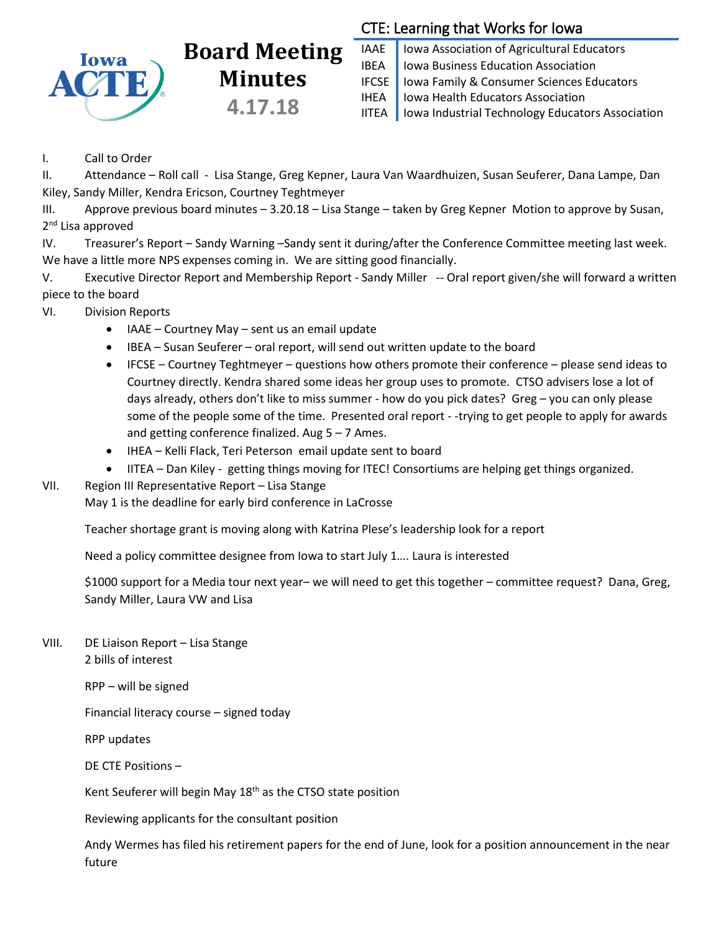

# **Board Meeting Minutes 4.17.18**

## CTE: Learning that Works for Iowa

IAAE | Iowa Association of Agricultural Educators IBEA | Iowa Business Education Association IFCSE Iowa Family & Consumer Sciences Educators IHEA | Iowa Health Educators Association IITEA | Iowa Industrial Technology Educators Association

I. Call to Order

II. Attendance – Roll call - Lisa Stange, Greg Kepner, Laura Van Waardhuizen, Susan Seuferer, Dana Lampe, Dan Kiley, Sandy Miller, Kendra Ericson, Courtney Teghtmeyer

III. Approve previous board minutes – 3.20.18 – Lisa Stange – taken by Greg Kepner Motion to approve by Susan, 2<sup>nd</sup> Lisa approved

IV. Treasurer's Report – Sandy Warning –Sandy sent it during/after the Conference Committee meeting last week. We have a little more NPS expenses coming in. We are sitting good financially.

V. Executive Director Report and Membership Report - Sandy Miller -- Oral report given/she will forward a written piece to the board

- VI. Division Reports
	- IAAE Courtney May sent us an email update
	- IBEA Susan Seuferer oral report, will send out written update to the board
	- $\bullet$  IFCSE Courtney Teghtmeyer questions how others promote their conference please send ideas to Courtney directly. Kendra shared some ideas her group uses to promote. CTSO advisers lose a lot of days already, others don't like to miss summer - how do you pick dates? Greg – you can only please some of the people some of the time. Presented oral report - -trying to get people to apply for awards and getting conference finalized. Aug  $5 - 7$  Ames.
	- IHEA Kelli Flack, Teri Peterson email update sent to board
	- IITEA Dan Kiley getting things moving for ITEC! Consortiums are helping get things organized.
- VII. Region III Representative Report Lisa Stange

May 1 is the deadline for early bird conference in LaCrosse

Teacher shortage grant is moving along with Katrina Plese's leadership look for a report

Need a policy committee designee from Iowa to start July 1…. Laura is interested

\$1000 support for a Media tour next year– we will need to get this together – committee request? Dana, Greg, Sandy Miller, Laura VW and Lisa

VIII. DE Liaison Report – Lisa Stange

2 bills of interest

RPP – will be signed

Financial literacy course – signed today

RPP updates

DE CTE Positions –

Kent Seuferer will begin May 18<sup>th</sup> as the CTSO state position

Reviewing applicants for the consultant position

Andy Wermes has filed his retirement papers for the end of June, look for a position announcement in the near future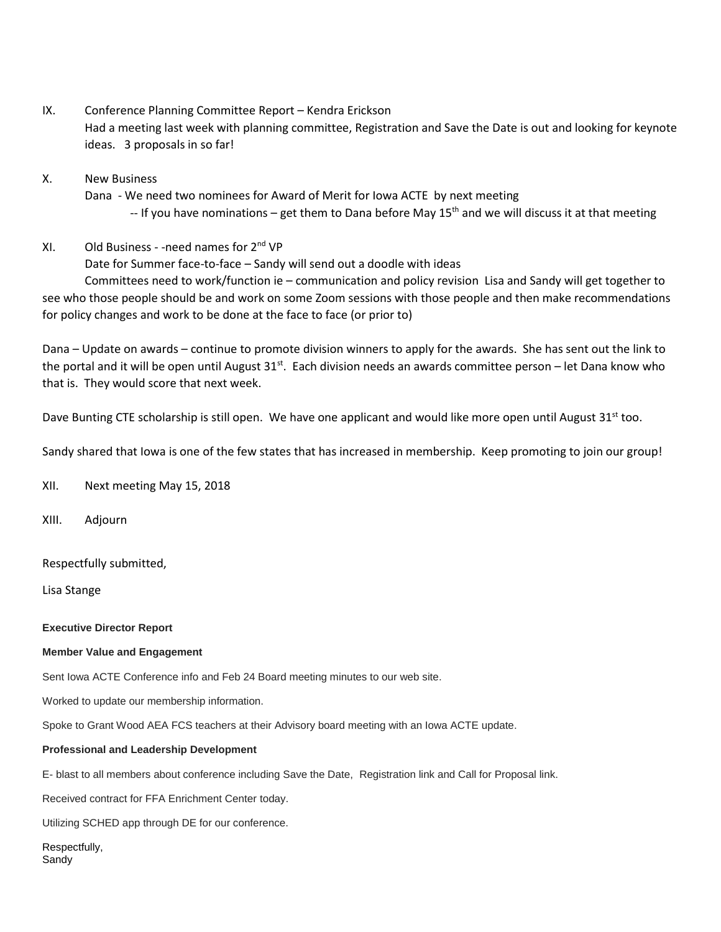- IX. Conference Planning Committee Report Kendra Erickson Had a meeting last week with planning committee, Registration and Save the Date is out and looking for keynote ideas. 3 proposals in so far!
- X. New Business
	- Dana We need two nominees for Award of Merit for Iowa ACTE by next meeting  $-$  If you have nominations – get them to Dana before May 15<sup>th</sup> and we will discuss it at that meeting
- $XI.$  Old Business -need names for  $2^{nd} VP$

Date for Summer face-to-face – Sandy will send out a doodle with ideas

Committees need to work/function ie – communication and policy revision Lisa and Sandy will get together to see who those people should be and work on some Zoom sessions with those people and then make recommendations for policy changes and work to be done at the face to face (or prior to)

Dana – Update on awards – continue to promote division winners to apply for the awards. She has sent out the link to the portal and it will be open until August 31st. Each division needs an awards committee person – let Dana know who that is. They would score that next week.

Dave Bunting CTE scholarship is still open. We have one applicant and would like more open until August 31<sup>st</sup> too.

Sandy shared that Iowa is one of the few states that has increased in membership. Keep promoting to join our group!

XII. Next meeting May 15, 2018

XIII. Adjourn

Respectfully submitted,

Lisa Stange

**Executive Director Report**

#### **Member Value and Engagement**

Sent Iowa ACTE Conference info and Feb 24 Board meeting minutes to our web site.

Worked to update our membership information.

Spoke to Grant Wood AEA FCS teachers at their Advisory board meeting with an Iowa ACTE update.

#### **Professional and Leadership Development**

E- blast to all members about conference including Save the Date, Registration link and Call for Proposal link.

Received contract for FFA Enrichment Center today.

Utilizing SCHED app through DE for our conference.

Respectfully, Sandy